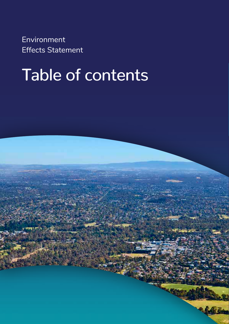Environment Effects Statement

# Table of contents

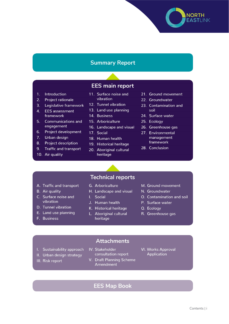#### **Summary Report**

#### **EES main report**

- 1. Introduction
- $2^{2}$ **Project rationale**
- $3.$ Legislative framework
- 4. EES assessment framework
- $5<sup>1</sup>$ **Communications and** engagement
- $6.$ Project development
- 7. Urban design
- $8.$ **Project description**
- $9.$ **Traffic and transport**
- 10. Air quality
- 11. Surface noise and vibration
- 12. Tunnel vibration
- 13. Land use planning
- 14. Business
- 15. Arboriculture
- 16. Landscape and visual
- 17. Social
- 18. Human health
- 19. Historical heritage
- 20. Aboriginal cultural heritage

21. Ground movement

**NORTH EASTLINK** 

- 22. Groundwater
- 23. Contamination and soil
- 24. Surface water
- 25. Ecology
- 26. Greenhouse gas
- 27. Environmental management framework
- 28. Conclusion
- **Technical reports**
- A. Traffic and transport
- **B.** Air quality
- C. Surface noise and vibration
- D. Tunnel vibration
- E. Land use planning
- F. Business
- 
- G. Arboriculture
- H. Landscape and visual
- L. Social
- J. Human health
- K. Historical heritage L. Aboriginal cultural heritage
- M. Ground movement
- N. Groundwater
- O. Contamination and soil
- P. Surface water
- Q. Ecology
- R. Greenhouse gas
- **Attachments**
- I. Sustainability approach
- IV. Stakeholder consultation report
- V. Draft Planning Scheme Amendment
- **VI. Works Approval Application**
- 
- II. Urban design strategy III. Risk report
	-

#### **EES Map Book**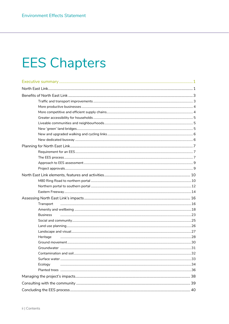## **EES Chapters**

| Transport       |  |
|-----------------|--|
|                 |  |
| <b>Business</b> |  |
|                 |  |
|                 |  |
|                 |  |
| Heritage        |  |
|                 |  |
|                 |  |
|                 |  |
|                 |  |
| Ecology         |  |
|                 |  |
|                 |  |
|                 |  |
|                 |  |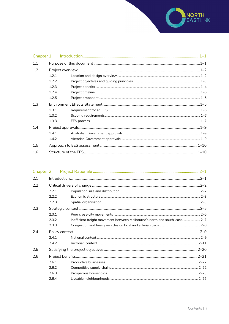

| 1.1 |       |  |
|-----|-------|--|
| 1.2 |       |  |
|     | 1.2.1 |  |
|     | 1.2.2 |  |
|     | 123   |  |
|     | 124   |  |
|     | 1.2.5 |  |
| 1.3 |       |  |
|     | 1.3.1 |  |
|     | 1.3.2 |  |
|     | 1.3.3 |  |
| 1.4 |       |  |
|     | 1.4.1 |  |
|     | 1.4.2 |  |
| 1.5 |       |  |
| 1.6 |       |  |

| 2.2.1 |                                                                           |  |
|-------|---------------------------------------------------------------------------|--|
| 2.2.2 |                                                                           |  |
| 2.2.3 |                                                                           |  |
|       |                                                                           |  |
| 2.3.1 |                                                                           |  |
| 2.3.2 | Inefficient freight movement between Melbourne's north and south-east 2-7 |  |
| 2.3.3 |                                                                           |  |
|       |                                                                           |  |
| 7.4.1 |                                                                           |  |
| 7.4.7 |                                                                           |  |
|       |                                                                           |  |
|       |                                                                           |  |
| 2.6.1 |                                                                           |  |
| 2.6.2 |                                                                           |  |
| 2.6.3 |                                                                           |  |
| 2.6.4 |                                                                           |  |
|       | Chapter 2                                                                 |  |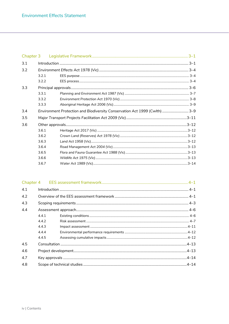| 3.1 |       |                                                                            |  |
|-----|-------|----------------------------------------------------------------------------|--|
| 3.2 |       |                                                                            |  |
|     | 3.2.1 |                                                                            |  |
|     | 3.2.2 |                                                                            |  |
| 3.3 |       |                                                                            |  |
|     | 3.3.1 |                                                                            |  |
|     | 3.3.2 |                                                                            |  |
|     | 3.3.3 |                                                                            |  |
| 3.4 |       | Environment Protection and Biodiversity Conservation Act 1999 (Cwlth)  3-9 |  |
| 3.5 |       |                                                                            |  |
| 3.6 |       |                                                                            |  |
|     | 3.6.1 |                                                                            |  |
|     | 3.6.2 |                                                                            |  |
|     | 3.6.3 |                                                                            |  |
|     | 3.6.4 |                                                                            |  |
|     | 3.6.5 |                                                                            |  |
|     | 3.6.6 |                                                                            |  |
|     | 3.6.7 |                                                                            |  |
|     |       |                                                                            |  |

| 4.1 |       |  |
|-----|-------|--|
| 4.2 |       |  |
| 4.3 |       |  |
| 4.4 |       |  |
|     | 4.4.1 |  |
|     | 4.4.2 |  |
|     | 4.4.3 |  |
|     | 4.4.4 |  |
|     | 4.4.5 |  |
| 4.5 |       |  |
| 4.6 |       |  |
| 4.7 |       |  |
| 4.8 |       |  |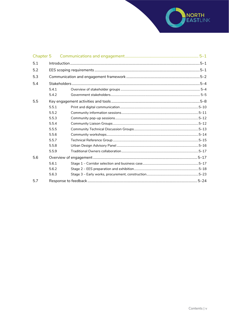

| Chapter 5 |       |  |
|-----------|-------|--|
| 5.1       |       |  |
| 5.2       |       |  |
| 5.3       |       |  |
| 5.4       |       |  |
|           | 5.4.1 |  |
|           | 5.4.2 |  |
| 5.5       |       |  |
|           | 5.5.1 |  |
|           | 5.5.2 |  |
|           | 5.5.3 |  |
|           | 5.5.4 |  |
|           | 5.5.5 |  |
|           | 5.5.6 |  |
|           | 5.5.7 |  |
|           | 5.5.8 |  |
|           | 5.5.9 |  |
| 5.6       |       |  |
|           | 5.6.1 |  |
|           | 5.6.2 |  |
|           | 5.6.3 |  |
| 5.7       |       |  |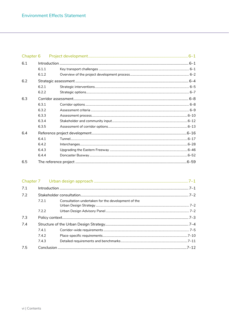| Chapter 6 |       |      |
|-----------|-------|------|
| 6.1       |       |      |
|           | 6.1.1 |      |
|           | 6.1.2 |      |
| 6.2       |       |      |
|           | 6.2.1 |      |
|           | 6.2.2 |      |
| 6.3       |       |      |
|           | 6.3.1 |      |
|           | 6.3.2 |      |
|           | 6.3.3 |      |
|           | 6.3.4 |      |
|           | 6.3.5 |      |
| 6.4       |       |      |
|           | 6.4.1 |      |
|           | 6.4.2 |      |
|           | 6.4.3 |      |
|           | 6.4.4 |      |
| 6.5       |       | 6–59 |

| 7.1 |       |                                                    |  |
|-----|-------|----------------------------------------------------|--|
| 7.2 |       |                                                    |  |
|     | 7.2.1 | Consultation undertaken for the development of the |  |
|     |       |                                                    |  |
|     | 7.2.2 |                                                    |  |
| 7.3 |       |                                                    |  |
| 7.4 |       |                                                    |  |
|     | 7.4.1 |                                                    |  |
|     | 7.4.2 |                                                    |  |
|     | 7.4.3 |                                                    |  |
| 7.5 |       |                                                    |  |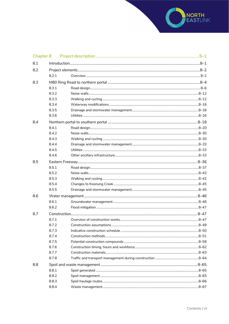

| Chapter 8 |       |  |  |  |
|-----------|-------|--|--|--|
| 8.1       |       |  |  |  |
| 8.2       |       |  |  |  |
|           | 8.2.1 |  |  |  |
| 8.3       |       |  |  |  |
|           | 8.3.1 |  |  |  |
|           | 8.3.2 |  |  |  |
|           | 8.3.3 |  |  |  |
|           | 8.3.4 |  |  |  |
|           | 8.3.5 |  |  |  |
|           | 8.3.6 |  |  |  |
| 8.4       |       |  |  |  |
|           | 8.4.1 |  |  |  |
|           | 8.4.2 |  |  |  |
|           | 8.4.3 |  |  |  |
|           | 8.4.4 |  |  |  |
|           | 8.4.5 |  |  |  |
|           | 8.4.6 |  |  |  |
| 8.5       |       |  |  |  |
|           | 8.5.1 |  |  |  |
|           | 8.5.2 |  |  |  |
|           | 8.5.3 |  |  |  |
|           | 8.5.4 |  |  |  |
|           | 8.5.5 |  |  |  |
| 8.6       |       |  |  |  |
|           | 8.6.1 |  |  |  |
|           | 8.6.2 |  |  |  |
| 8.7       |       |  |  |  |
|           | 8.7.1 |  |  |  |
|           | 8.7.2 |  |  |  |
|           | 8.7.3 |  |  |  |
|           | 8.7.4 |  |  |  |
|           | 8.7.5 |  |  |  |
|           | 8.7.6 |  |  |  |
|           | 8.7.7 |  |  |  |
|           | 8.7.8 |  |  |  |
| 8.8       |       |  |  |  |
|           | 8.8.1 |  |  |  |
|           | 8.8.2 |  |  |  |
|           | 8.8.3 |  |  |  |
|           | 8.8.4 |  |  |  |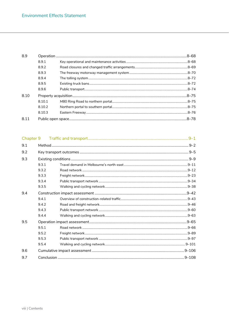| 8.9   |        |  |
|-------|--------|--|
|       | 8.9.1  |  |
|       | 8.9.2  |  |
|       | 8.9.3  |  |
|       | 8.9.4  |  |
|       | 8.9.5  |  |
|       | 8.9.6  |  |
| 8.10  |        |  |
|       | 8.10.1 |  |
|       | 8.10.2 |  |
|       | 8.10.3 |  |
| 8 1 1 |        |  |
|       |        |  |

| Chapter 9 |       |  |  |  |
|-----------|-------|--|--|--|
| 9.1       |       |  |  |  |
| 9.2       |       |  |  |  |
| 9.3       |       |  |  |  |
|           | 9.3.1 |  |  |  |
|           | 9.3.2 |  |  |  |
|           | 9.3.3 |  |  |  |
|           | 9.3.4 |  |  |  |
|           | 9.3.5 |  |  |  |
| 9.4       |       |  |  |  |
|           | 9.4.1 |  |  |  |
|           | 9.4.2 |  |  |  |
|           | 9.4.3 |  |  |  |
|           | 9.4.4 |  |  |  |
| 9.5       |       |  |  |  |
|           | 9.5.1 |  |  |  |
|           | 9.5.2 |  |  |  |
|           | 9.5.3 |  |  |  |
|           | 9.5.4 |  |  |  |
| 9.6       |       |  |  |  |
| 9.7       |       |  |  |  |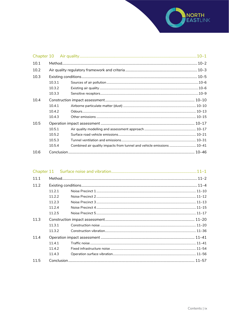

| 10.1 |        |                                                                       |  |
|------|--------|-----------------------------------------------------------------------|--|
| 10.2 |        |                                                                       |  |
| 10.3 |        |                                                                       |  |
|      | 10.3.1 |                                                                       |  |
|      | 10.3.2 |                                                                       |  |
|      | 10.3.3 |                                                                       |  |
| 10.4 |        |                                                                       |  |
|      | 10.4.1 |                                                                       |  |
|      | 10.4.2 |                                                                       |  |
|      | 10.4.3 |                                                                       |  |
| 10.5 |        |                                                                       |  |
|      | 10.5.1 |                                                                       |  |
|      | 10.5.2 |                                                                       |  |
|      | 10.5.3 |                                                                       |  |
|      | 10.5.4 | Combined air quality impacts from tunnel and vehicle emissions  10-41 |  |
| 10.6 |        |                                                                       |  |

| 11.1 |        |  |  |
|------|--------|--|--|
| 11.2 |        |  |  |
|      | 11.2.1 |  |  |
|      | 11.2.2 |  |  |
|      | 11.2.3 |  |  |
|      | 11.2.4 |  |  |
|      | 11.2.5 |  |  |
| 11.3 |        |  |  |
|      | 1131   |  |  |
|      | 11.3.2 |  |  |
| 11.4 |        |  |  |
|      | 11.4.1 |  |  |
|      | 11.4.2 |  |  |
|      | 11.4.3 |  |  |
| 11.5 |        |  |  |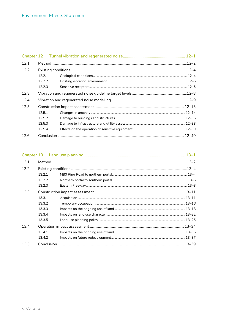| 12.1 |        |  |
|------|--------|--|
| 12.2 |        |  |
|      | 12.2.1 |  |
|      | 12.2.2 |  |
|      | 12.2.3 |  |
| 12.3 |        |  |
| 12.4 |        |  |
| 12.5 |        |  |
|      | 12.5.1 |  |
|      | 12.5.2 |  |
|      | 12.5.3 |  |
|      | 12.5.4 |  |
| 12.6 |        |  |

| 13.1 |        |  |  |
|------|--------|--|--|
| 13.2 |        |  |  |
|      | 13.2.1 |  |  |
|      | 13.2.2 |  |  |
|      | 13.2.3 |  |  |
| 13.3 |        |  |  |
|      | 13.3.1 |  |  |
|      | 13.3.2 |  |  |
|      | 13.3.3 |  |  |
|      | 13.3.4 |  |  |
|      | 13.3.5 |  |  |
| 13.4 |        |  |  |
|      | 13.4.1 |  |  |
|      | 13.4.2 |  |  |
| 13.5 |        |  |  |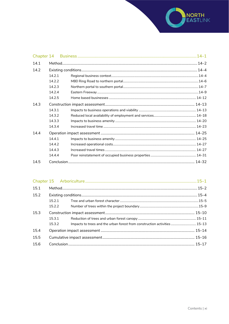

| Chapter 14 |        |  |
|------------|--------|--|
| 14.1       |        |  |
| 14.2       |        |  |
|            | 14.2.1 |  |
|            | 14.2.2 |  |
|            | 14.2.3 |  |
|            | 14.2.4 |  |
|            | 14.2.5 |  |
| 14.3       |        |  |
|            | 14.3.1 |  |
|            | 14.3.2 |  |
|            | 14.3.3 |  |
|            | 14.3.4 |  |
| 14.4       |        |  |
|            | 14.4.1 |  |
|            | 14.4.7 |  |
|            | 14.4.3 |  |
|            | 14.4.4 |  |
| 14.5       |        |  |

| 15.1 |        |                                                                           |  |
|------|--------|---------------------------------------------------------------------------|--|
| 15.2 |        |                                                                           |  |
|      | 15.2.1 |                                                                           |  |
|      | 15.2.2 |                                                                           |  |
| 15.3 |        |                                                                           |  |
|      | 15.3.1 |                                                                           |  |
|      | 15.3.2 | Impacts to trees and the urban forest from construction activities  15-13 |  |
| 15.4 |        |                                                                           |  |
| 15.5 |        |                                                                           |  |
| 15.6 |        |                                                                           |  |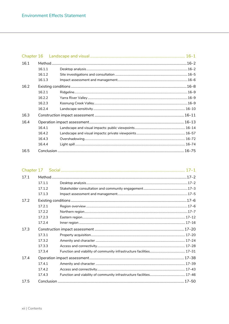| 16.1 |        |  |
|------|--------|--|
|      | 16.1.1 |  |
|      | 16.1.2 |  |
|      | 16.1.3 |  |
| 16.2 |        |  |
|      | 16.2.1 |  |
|      | 16.2.2 |  |
|      | 16.2.3 |  |
|      | 16.2.4 |  |
| 16.3 |        |  |
| 16.4 |        |  |
|      | 16.4.1 |  |
|      | 16.4.2 |  |
|      | 16.4.3 |  |
|      | 16.4.4 |  |
| 16.5 |        |  |

| 17.1 |        |  |  |
|------|--------|--|--|
|      | 17.1.1 |  |  |
|      | 17.1.2 |  |  |
|      | 17.1.3 |  |  |
| 17.2 |        |  |  |
|      | 17.2.1 |  |  |
|      | 17.2.2 |  |  |
|      | 17.2.3 |  |  |
|      | 17.2.4 |  |  |
| 17.3 |        |  |  |
|      | 17.3.1 |  |  |
|      | 17.3.2 |  |  |
|      | 17.3.3 |  |  |
|      | 17.3.4 |  |  |
| 17.4 |        |  |  |
|      | 17.4.1 |  |  |
|      | 17.4.2 |  |  |
|      | 17.4.3 |  |  |
| 17.5 |        |  |  |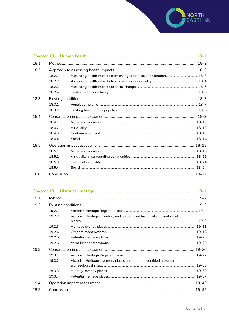

| 18.1 |        |  |
|------|--------|--|
| 18.2 |        |  |
|      | 18.2.1 |  |
|      | 18.2.2 |  |
|      | 18.2.3 |  |
|      | 18.2.4 |  |
| 18.3 |        |  |
|      | 18.3.1 |  |
|      | 18.3.2 |  |
| 18.4 |        |  |
|      | 18.4.1 |  |
|      | 18.4.2 |  |
|      | 18.4.3 |  |
|      | 18.4.4 |  |
| 18.5 |        |  |
|      | 18.5.1 |  |
|      | 18.5.2 |  |
|      | 18.5.3 |  |
|      | 18.5.4 |  |
| 18.6 |        |  |

| 19.1 |        |                                                                         |  |
|------|--------|-------------------------------------------------------------------------|--|
| 19.2 |        |                                                                         |  |
|      | 19.2.1 |                                                                         |  |
|      | 19.2.2 | Victorian Heritage Inventory and unidentified historical archaeological |  |
|      |        |                                                                         |  |
|      | 19.2.3 |                                                                         |  |
|      | 19.2.4 |                                                                         |  |
|      | 19.2.5 |                                                                         |  |
|      | 19.2.6 |                                                                         |  |
| 19.3 |        |                                                                         |  |
|      | 19.3.1 |                                                                         |  |
|      | 19.3.2 | Victorian Heritage Inventory places and other unidentified historical   |  |
|      |        |                                                                         |  |
|      | 19.3.3 |                                                                         |  |
|      | 19.3.4 |                                                                         |  |
| 19.4 |        |                                                                         |  |
| 19.5 |        |                                                                         |  |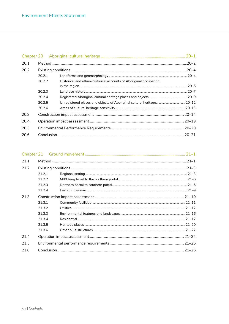| 20.1 |        |                                                                   |  |
|------|--------|-------------------------------------------------------------------|--|
| 20.2 |        |                                                                   |  |
|      | 20.2.1 |                                                                   |  |
|      | 20.2.2 | Historical and ethno-historical accounts of Aboriginal occupation |  |
|      |        |                                                                   |  |
|      | 20.2.3 |                                                                   |  |
|      | 20.2.4 |                                                                   |  |
|      | 20.2.5 |                                                                   |  |
|      | 20.2.6 |                                                                   |  |
| 20.3 |        |                                                                   |  |
| 20.4 |        |                                                                   |  |
| 20.5 |        |                                                                   |  |
| 20.6 |        |                                                                   |  |

| 21.1 |        |  |
|------|--------|--|
| 21.2 |        |  |
|      | 21.2.1 |  |
|      | 21.2.2 |  |
|      | 21.2.3 |  |
|      | 21.2.4 |  |
| 21.3 |        |  |
|      | 21.3.1 |  |
|      | 21.3.2 |  |
|      | 21.3.3 |  |
|      | 21.3.4 |  |
|      | 21.3.5 |  |
|      | 21.3.6 |  |
| 21.4 |        |  |
| 21.5 |        |  |
| 21.6 |        |  |
|      |        |  |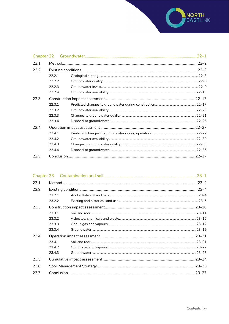

| 22.1 |        |  |
|------|--------|--|
| 22.2 |        |  |
|      | 22.2.1 |  |
|      | 22.2.2 |  |
|      | 22.2.3 |  |
|      | 22.2.4 |  |
| 22.3 |        |  |
|      | 22.3.1 |  |
|      | 22.3.2 |  |
|      | 22.3.3 |  |
|      | 22.3.4 |  |
| 22.4 |        |  |
|      | 22.4.1 |  |
|      | 22.4.2 |  |
|      | 22.4.3 |  |
|      | 22.4.4 |  |
| 22.5 |        |  |

| 23.1 |        |  |  |
|------|--------|--|--|
| 23.2 |        |  |  |
|      | 23.2.1 |  |  |
|      | 23.2.2 |  |  |
| 23.3 |        |  |  |
|      | 23.3.1 |  |  |
|      | 23.3.2 |  |  |
|      | 23.3.3 |  |  |
|      | 23.3.4 |  |  |
| 23.4 |        |  |  |
|      | 23.4.1 |  |  |
|      | 23.4.2 |  |  |
|      | 23.4.3 |  |  |
| 23.5 |        |  |  |
| 23.6 |        |  |  |
| 23.7 |        |  |  |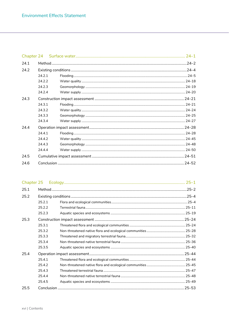| Chapter 24 |        |  |           |
|------------|--------|--|-----------|
| 241        |        |  | $.24 - 2$ |
| 24.2       |        |  |           |
|            | 24.2.1 |  |           |
|            | 24.2.2 |  |           |
|            | 24.2.3 |  |           |
|            | 24.2.4 |  |           |
| 24.3       |        |  |           |
|            | 24.3.1 |  |           |
|            | 24.3.2 |  |           |
|            | 24.3.3 |  |           |
|            | 24.3.4 |  |           |
| 24.4       |        |  |           |
|            | 24.4.1 |  |           |
|            | 24.4.2 |  |           |
|            | 24.4.3 |  |           |
|            | 24.4.4 |  |           |
| 24.5       |        |  |           |
| 24.6       |        |  |           |

| 25.1 |        |  |  |
|------|--------|--|--|
| 25.2 |        |  |  |
|      | 25.2.1 |  |  |
|      | 25.2.2 |  |  |
|      | 25.2.3 |  |  |
| 25.3 |        |  |  |
|      | 25.3.1 |  |  |
|      | 25.3.2 |  |  |
|      | 25.3.3 |  |  |
|      | 25.3.4 |  |  |
|      | 25.3.5 |  |  |
| 25.4 |        |  |  |
|      | 25.4.1 |  |  |
|      | 25.4.2 |  |  |
|      | 25.4.3 |  |  |
|      | 25.4.4 |  |  |
|      | 25.4.5 |  |  |
| 25.5 |        |  |  |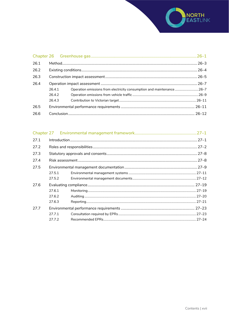

| 26.1 |           |                                                                      |  |
|------|-----------|----------------------------------------------------------------------|--|
| 26.2 | $.26 - 4$ |                                                                      |  |
| 26.3 |           |                                                                      |  |
| 26.4 |           |                                                                      |  |
|      | 26.4.1    | Operation emissions from electricity consumption and maintenance26-7 |  |
|      | 26.4.2    |                                                                      |  |
|      | 26.4.3    |                                                                      |  |
| 26.5 |           |                                                                      |  |
| 26.6 |           |                                                                      |  |

| 27.1 | $Introduction 1, 27-1$ |  |  |
|------|------------------------|--|--|
| 27.2 |                        |  |  |
| 27.3 |                        |  |  |
| 27.4 |                        |  |  |
| 27.5 |                        |  |  |
|      | 27.5.1                 |  |  |
|      | 27.5.2                 |  |  |
| 27.6 |                        |  |  |
|      | 27.6.1                 |  |  |
|      | 27.6.2                 |  |  |
|      | 27.6.3                 |  |  |
| 27.7 |                        |  |  |
|      | 27.7.1                 |  |  |
|      | 27.7.2                 |  |  |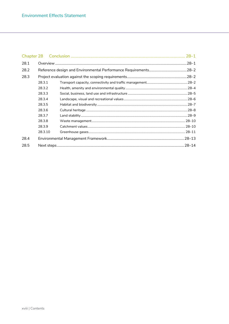| 28.1 |         |  | $.28 - 1$ |
|------|---------|--|-----------|
| 28.2 |         |  |           |
| 28.3 |         |  |           |
|      | 28.3.1  |  |           |
|      | 28.3.2  |  |           |
|      | 28.3.3  |  |           |
|      | 28.3.4  |  |           |
|      | 28.3.5  |  |           |
|      | 28.3.6  |  |           |
|      | 28.3.7  |  |           |
|      | 28.3.8  |  |           |
|      | 28.3.9  |  |           |
|      | 28.3.10 |  |           |
| 28.4 |         |  |           |
| 28.5 |         |  |           |
|      |         |  |           |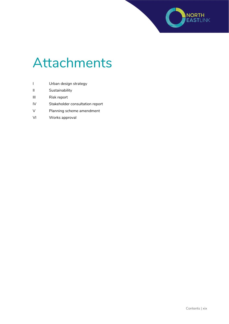

### Attachments

- I Urban design strategy
- II Sustainability
- III Risk report
- IV Stakeholder consultation report
- V Planning scheme amendment
- VI Works approval